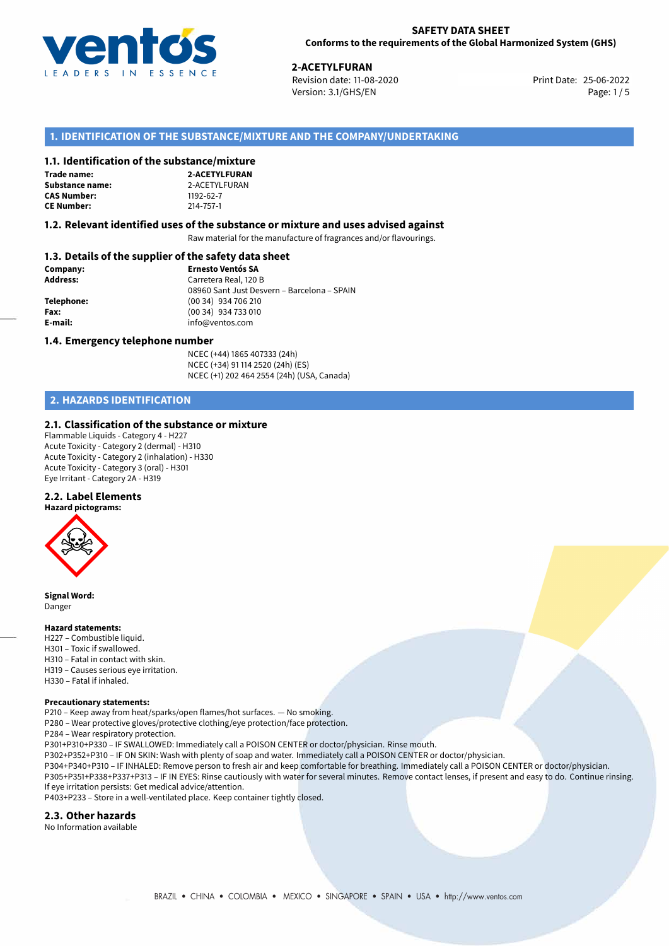

**2-ACETYLFURAN**<br>
Revision date: 11-08-2020<br> **25-06-2022** Print Date: 25-06-2022 Revision date: 11-08-2020 Version: 3.1/GHS/EN Page: 1 / 5

# **1. IDENTIFICATION OF THE SUBSTANCE/MIXTURE AND THE COMPANY/UNDERTAKING**

#### **1.1. Identification of the substance/mixture**

| Trade name:        |
|--------------------|
| Substance name     |
| <b>CAS Number:</b> |
| <b>CE Number:</b>  |

**2-ACETYLFURAN Substance name:** 2-ACETYLFURAN **CAS Number:** 1192-62-7 **CE Number:** 214-757-1

#### **1.2. Relevant identified uses of the substance or mixture and uses advised against**

Raw material for the manufacture of fragrances and/or flavourings.

## **1.3. Details of the supplier of the safety data sheet**

| Company:        | <b>Ernesto Ventós SA</b>                    |
|-----------------|---------------------------------------------|
| <b>Address:</b> | Carretera Real, 120 B                       |
|                 | 08960 Sant Just Desvern - Barcelona - SPAIN |
| Telephone:      | (00 34) 934 706 210                         |
| Fax:            | (00 34) 934 733 010                         |
| E-mail:         | info@ventos.com                             |
|                 |                                             |

#### **1.4. Emergency telephone number**

NCEC (+44) 1865 407333 (24h) NCEC (+34) 91 114 2520 (24h) (ES) NCEC (+1) 202 464 2554 (24h) (USA, Canada)

# **2. HAZARDS IDENTIFICATION**

#### **2.1. Classification of the substance or mixture**

Flammable Liquids - Category 4 - H227 Acute Toxicity - Category 2 (dermal) - H310 Acute Toxicity - Category 2 (inhalation) - H330 Acute Toxicity - Category 3 (oral) - H301 Eye Irritant - Category 2A - H319

### **2.2. Label Elements**



**Signal Word:** Danger

#### **Hazard statements:**

- H227 Combustible liquid.
- H301 Toxic if swallowed.
- H310 Fatal in contact with skin.
- H319 Causes serious eye irritation.
- H330 Fatal if inhaled.

#### **Precautionary statements:**

P210 – Keep away from heat/sparks/open flames/hot surfaces. — No smoking.

P280 – Wear protective gloves/protective clothing/eye protection/face protection.

P284 – Wear respiratory protection.

P301+P310+P330 – IF SWALLOWED: Immediately call a POISON CENTER or doctor/physician. Rinse mouth.

P302+P352+P310 – IF ON SKIN: Wash with plenty of soap and water. Immediately call a POISON CENTER or doctor/physician.

P304+P340+P310 – IF INHALED: Remove person to fresh air and keep comfortable for breathing. Immediately call a POISON CENTER or doctor/physician. P305+P351+P338+P337+P313 – IF IN EYES: Rinse cautiously with water for several minutes. Remove contact lenses, if present and easy to do. Continue rinsing. If eye irritation persists: Get medical advice/attention.

P403+P233 – Store in a well-ventilated place. Keep container tightly closed.

#### **2.3. Other hazards**

No Information available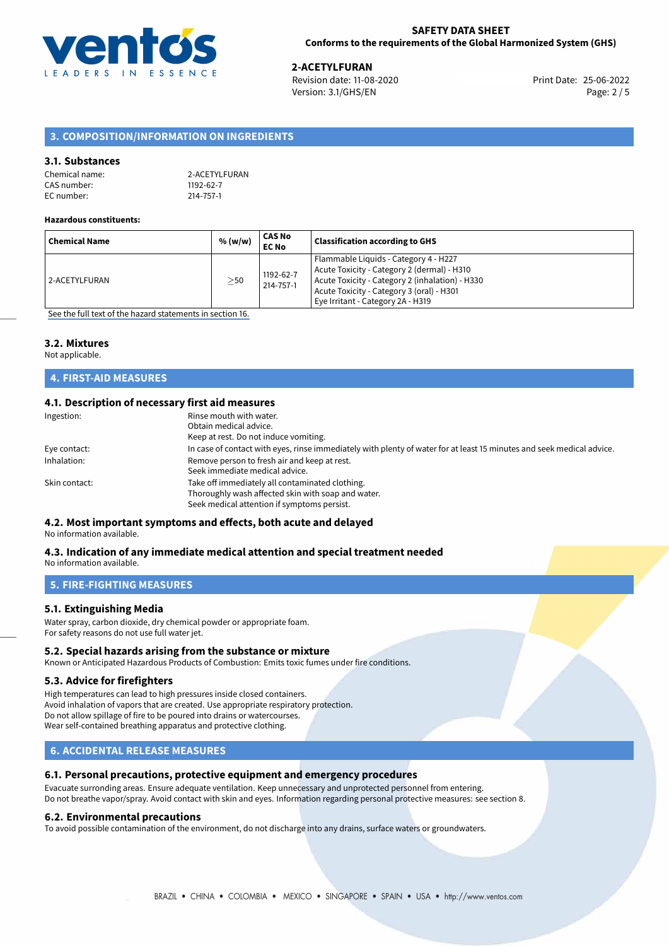

**2-ACETYLFURAN**<br>
Revision date: 11-08-2020 **Print Date: 25-06-2022** Version: 3.1/GHS/EN Page: 2 / 5

# **3. COMPOSITION/INFORMATION ON INGREDIENTS**

#### **3.1. Substances**

| Chemical name: | 2-ACETYLFURAN |
|----------------|---------------|
| CAS number:    | 1192-62-7     |
| EC number: l   | 214-757-1     |

#### **Hazardous constituents:**

| <b>Chemical Name</b> | % (w/w)   | CAS No<br><b>EC No</b> | <b>Classification according to GHS</b>                                                                                                                                                                                    |
|----------------------|-----------|------------------------|---------------------------------------------------------------------------------------------------------------------------------------------------------------------------------------------------------------------------|
| l 2-ACETYLFURAN      | $\geq$ 50 | 1192-62-7<br>214-757-1 | Flammable Liquids - Category 4 - H227<br>Acute Toxicity - Category 2 (dermal) - H310<br>Acute Toxicity - Category 2 (inhalation) - H330<br>Acute Toxicity - Category 3 (oral) - H301<br>Eye Irritant - Category 2A - H319 |

[See the full text of the hazard statements in section 16.](#page-4-0)

#### **3.2. Mixtures**

Not applicable.

# **4. FIRST-AID MEASURES**

#### **4.1. Description of necessary first aid measures**

| Ingestion:    | Rinse mouth with water.<br>Obtain medical advice.<br>Keep at rest. Do not induce vomiting.                                                           |
|---------------|------------------------------------------------------------------------------------------------------------------------------------------------------|
| Eye contact:  | In case of contact with eyes, rinse immediately with plenty of water for at least 15 minutes and seek medical advice.                                |
| Inhalation:   | Remove person to fresh air and keep at rest.<br>Seek immediate medical advice.                                                                       |
| Skin contact: | Take off immediately all contaminated clothing.<br>Thoroughly wash affected skin with soap and water.<br>Seek medical attention if symptoms persist. |

# **4.2. Most important symptoms and effects, both acute and delayed**

No information available.

#### **4.3. Indication of any immediate medical attention and special treatment needed** No information available.

**5. FIRE-FIGHTING MEASURES**

# **5.1. Extinguishing Media**

Water spray, carbon dioxide, dry chemical powder or appropriate foam. For safety reasons do not use full water jet.

#### **5.2. Special hazards arising from the substance or mixture**

Known or Anticipated Hazardous Products of Combustion: Emits toxic fumes under fire conditions.

#### **5.3. Advice for firefighters**

High temperatures can lead to high pressures inside closed containers. Avoid inhalation of vapors that are created. Use appropriate respiratory protection. Do not allow spillage of fire to be poured into drains or watercourses. Wear self-contained breathing apparatus and protective clothing.

### **6. ACCIDENTAL RELEASE MEASURES**

#### **6.1. Personal precautions, protective equipment and emergency procedures**

Evacuate surronding areas. Ensure adequate ventilation. Keep unnecessary and unprotected personnel from entering. Do not breathe vapor/spray. Avoid contact with skin and eyes. Information regarding personal protective measures: see section 8.

#### **6.2. Environmental precautions**

To avoid possible contamination of the environment, do not discharge into any drains, surface waters or groundwaters.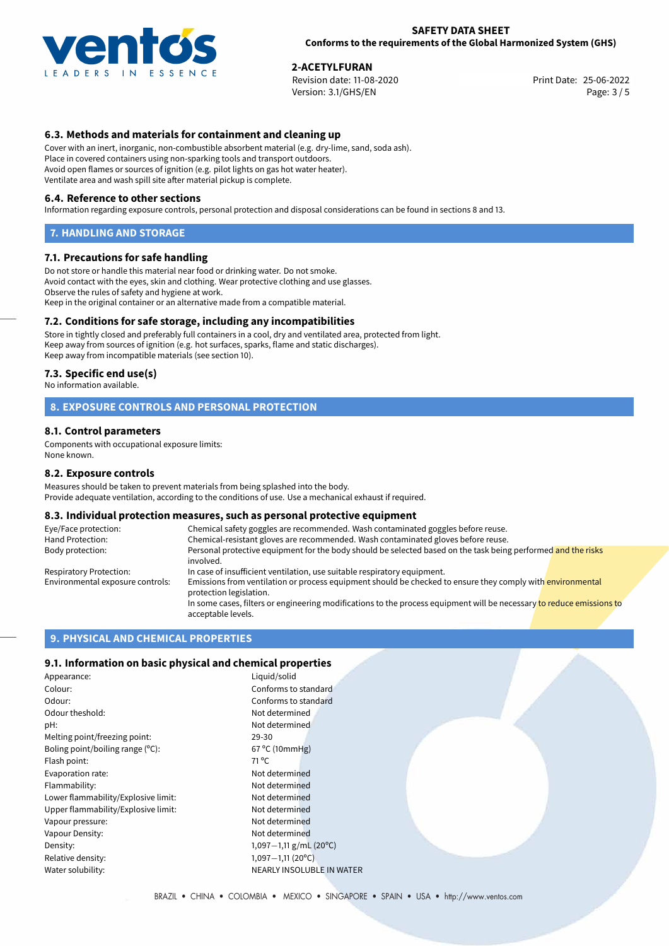

**2-ACETYLFURAN**<br>
Revision date: 11-08-2020<br> **25-06-2022** Print Date: 25-06-2022 Revision date: 11-08-2020 Version: 3.1/GHS/EN Page: 3 / 5

# **6.3. Methods and materials for containment and cleaning up**

Cover with an inert, inorganic, non-combustible absorbent material (e.g. dry-lime, sand, soda ash). Place in covered containers using non-sparking tools and transport outdoors. Avoid open flames or sources of ignition (e.g. pilot lights on gas hot water heater). Ventilate area and wash spill site after material pickup is complete.

#### **6.4. Reference to other sections**

Information regarding exposure controls, personal protection and disposal considerations can be found in sections 8 and 13.

#### **7. HANDLING AND STORAGE**

#### **7.1. Precautions for safe handling**

Do not store or handle this material near food or drinking water. Do not smoke. Avoid contact with the eyes, skin and clothing. Wear protective clothing and use glasses. Observe the rules of safety and hygiene at work. Keep in the original container or an alternative made from a compatible material.

### **7.2. Conditions for safe storage, including any incompatibilities**

Store in tightly closed and preferably full containers in a cool, dry and ventilated area, protected from light. Keep away from sources of ignition (e.g. hot surfaces, sparks, flame and static discharges). Keep away from incompatible materials (see section 10).

#### **7.3. Specific end use(s)**

No information available.

### **8. EXPOSURE CONTROLS AND PERSONAL PROTECTION**

#### **8.1. Control parameters**

Components with occupational exposure limits: None known.

#### **8.2. Exposure controls**

Measures should be taken to prevent materials from being splashed into the body. Provide adequate ventilation, according to the conditions of use. Use a mechanical exhaust if required.

#### **8.3. Individual protection measures, such as personal protective equipment**

| Eye/Face protection:             | Chemical safety goggles are recommended. Wash contaminated goggles before reuse.                                                            |  |  |
|----------------------------------|---------------------------------------------------------------------------------------------------------------------------------------------|--|--|
| Hand Protection:                 | Chemical-resistant gloves are recommended. Wash contaminated gloves before reuse.                                                           |  |  |
| Body protection:                 | Personal protective equipment for the body should be selected based on the task being performed and the risks<br>involved.                  |  |  |
| Respiratory Protection:          | In case of insufficient ventilation, use suitable respiratory equipment.                                                                    |  |  |
| Environmental exposure controls: | Emissions from ventilation or process equipment should be checked to ensure they comply with environmental<br>protection legislation.       |  |  |
|                                  | In some cases, filters or engineering modifications to the process equipment will be necessary to reduce emissions to<br>acceptable levels. |  |  |

#### **9. PHYSICAL AND CHEMICAL PROPERTIES**

### **9.1. Information on basic physical and chemical properties**

| Appearance:                         | Liquid/solid               |
|-------------------------------------|----------------------------|
| Conforms to standard<br>Colour:     |                            |
| Odour:<br>Conforms to standard      |                            |
| Odour theshold:<br>Not determined   |                            |
| pH:                                 | Not determined             |
| Melting point/freezing point:       | $29 - 30$                  |
| Boling point/boiling range (°C):    | 67 °C (10mmHg)             |
| Flash point:                        | 71 °C                      |
| Evaporation rate:                   | Not determined             |
| Flammability:                       | Not determined             |
| Lower flammability/Explosive limit: | Not determined             |
| Upper flammability/Explosive limit: | Not determined             |
| Vapour pressure:                    | Not determined             |
| Vapour Density:                     | Not determined             |
| Density:                            | $1,097 - 1,11$ g/mL (20°C) |
| Relative density:                   | $1,097 - 1,11(20°C)$       |
| Water solubility:                   | NEARLY INSOLUBLE IN WATER  |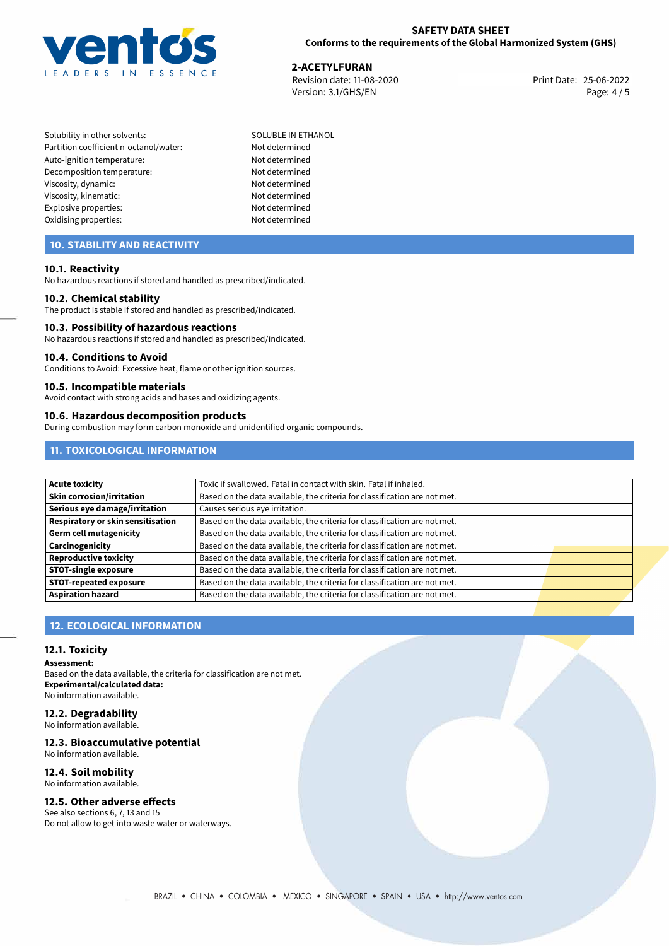

**2-ACETYLFURAN**<br>
Revision date: 11-08-2020 **Print Date: 25-06-2022** Version: 3.1/GHS/EN Page: 4 / 5

- Solubility in other solvents: SOLUBLE IN ETHANOL Partition coefficient n-octanol/water: Not determined Auto-ignition temperature: Not determined Decomposition temperature: Not determined Viscosity, dynamic: Not determined Viscosity, kinematic: Not determined Explosive properties: Not determined Oxidising properties: Not determined
	-

# **10. STABILITY AND REACTIVITY**

#### **10.1. Reactivity**

No hazardous reactions if stored and handled as prescribed/indicated.

#### **10.2. Chemical stability**

The product is stable if stored and handled as prescribed/indicated.

#### **10.3. Possibility of hazardous reactions**

No hazardous reactions if stored and handled as prescribed/indicated.

#### **10.4. Conditions to Avoid**

Conditions to Avoid: Excessive heat, flame or other ignition sources.

#### **10.5. Incompatible materials**

Avoid contact with strong acids and bases and oxidizing agents.

#### **10.6. Hazardous decomposition products**

During combustion may form carbon monoxide and unidentified organic compounds.

# **11. TOXICOLOGICAL INFORMATION**

| Acute toxicity                           | Toxic if swallowed. Fatal in contact with skin. Fatal if inhaled.         |  |
|------------------------------------------|---------------------------------------------------------------------------|--|
| Skin corrosion/irritation                | Based on the data available, the criteria for classification are not met. |  |
| Serious eye damage/irritation            | Causes serious eye irritation.                                            |  |
| <b>Respiratory or skin sensitisation</b> | Based on the data available, the criteria for classification are not met. |  |
| Germ cell mutagenicity                   | Based on the data available, the criteria for classification are not met. |  |
| <b>Carcinogenicity</b>                   | Based on the data available, the criteria for classification are not met. |  |
| Reproductive toxicity                    | Based on the data available, the criteria for classification are not met. |  |
| STOT-single exposure                     | Based on the data available, the criteria for classification are not met. |  |
| <b>STOT-repeated exposure</b>            | Based on the data available, the criteria for classification are not met. |  |
| <b>Aspiration hazard</b>                 | Based on the data available, the criteria for classification are not met. |  |

# **12. ECOLOGICAL INFORMATION**

#### **12.1. Toxicity**

**Assessment:**

Based on the data available, the criteria for classification are not met. **Experimental/calculated data:** No information available.

# **12.2. Degradability**

No information available.

# **12.3. Bioaccumulative potential**

No information available.

# **12.4. Soil mobility**

No information available.

# **12.5. Other adverse effects**

See also sections 6, 7, 13 and 15 Do not allow to get into waste water or waterways.